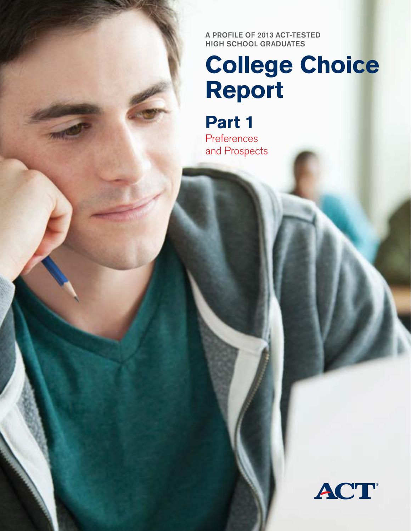A Profile of 2013 ACT-tested high school graduates

# **College Choice Report**

**Part 1** Preferences and Prospects

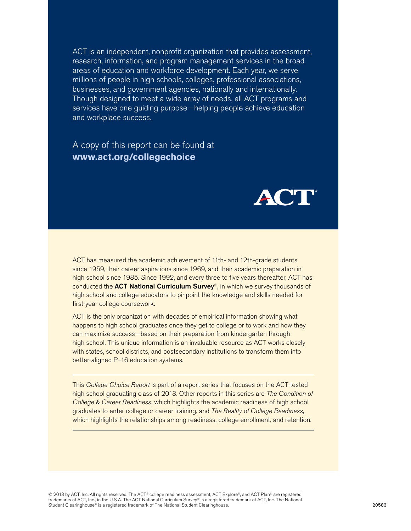ACT is an independent, nonprofit organization that provides assessment, research, information, and program management services in the broad areas of education and workforce development. Each year, we serve millions of people in high schools, colleges, professional associations, businesses, and government agencies, nationally and internationally. Though designed to meet a wide array of needs, all ACT programs and services have one guiding purpose—helping people achieve education and workplace success.

A copy of this report can be found at **www.act.org/collegechoice**



ACT has measured the academic achievement of 11th- and 12th-grade students since 1959, their career aspirations since 1969, and their academic preparation in high school since 1985. Since 1992, and every three to five years thereafter, ACT has conducted the **ACT National Curriculum Survey**®, in which we survey thousands of high school and college educators to pinpoint the knowledge and skills needed for first-year college coursework.

ACT is the only organization with decades of empirical information showing what happens to high school graduates once they get to college or to work and how they can maximize success—based on their preparation from kindergarten through high school. This unique information is an invaluable resource as ACT works closely with states, school districts, and postsecondary institutions to transform them into better-aligned P–16 education systems.

This *College Choice Report* is part of a report series that focuses on the ACT-tested high school graduating class of 2013. Other reports in this series are *The Condition of College & Career Readiness*, which highlights the academic readiness of high school graduates to enter college or career training, and *The Reality of College Readiness*, which highlights the relationships among readiness, college enrollment, and retention.

© 2013 by ACT, Inc. All rights reserved. The ACT® college readiness assessment, ACT Explore®, and ACT Plan® are registered trademarks of ACT, Inc., in the U.S.A. The ACT National Curriculum Survey® is a registered trademark of ACT, Inc. The National Student Clearinghouse<sup>®</sup> is a registered trademark of The National Student Clearinghouse.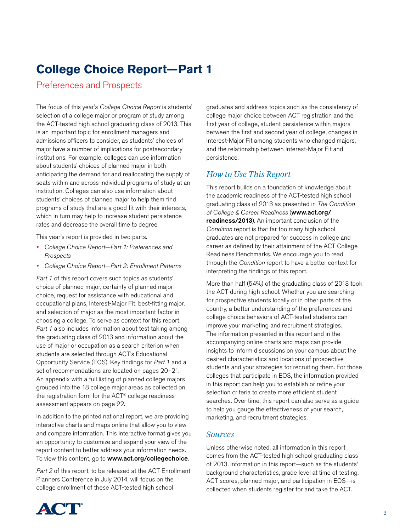# **College Choice Report—Part 1**

Preferences and Prospects

The focus of this year's *College Choice Report* is students' selection of a college major or program of study among the ACT-tested high school graduating class of 2013. This is an important topic for enrollment managers and admissions officers to consider, as students' choices of major have a number of implications for postsecondary institutions. For example, colleges can use information about students' choices of planned major in both anticipating the demand for and reallocating the supply of seats within and across individual programs of study at an institution. Colleges can also use information about students' choices of planned major to help them find programs of study that are a good fit with their interests, which in turn may help to increase student persistence rates and decrease the overall time to degree.

This year's report is provided in two parts.

- *College Choice Report—Part 1: Preferences and Prospects*
- *College Choice Report—Part 2: Enrollment Patterns*

*Part 1* of this report covers such topics as students' choice of planned major, certainty of planned major choice, request for assistance with educational and occupational plans, Interest-Major Fit, best-fitting major, and selection of major as the most important factor in choosing a college. To serve as context for this report, *Part 1* also includes information about test taking among the graduating class of 2013 and information about the use of major or occupation as a search criterion when students are selected through ACT's Educational Opportunity Service (EOS). Key findings for *Part 1* and a set of recommendations are located on pages 20–21. An appendix with a full listing of planned college majors grouped into the 18 college major areas as collected on the registration form for the ACT® college readiness assessment appears on page 22.

In addition to the printed national report, we are providing interactive charts and maps online that allow you to view and compare information. This interactive format gives you an opportunity to customize and expand your view of the report content to better address your information needs. To view this content, go to www.act.org/collegechoice.

*Part 2* of this report, to be released at the ACT Enrollment Planners Conference in July 2014, will focus on the college enrollment of these ACT-tested high school



### *How to Use This Report*

This report builds on a foundation of knowledge about the academic readiness of the ACT-tested high school graduating class of 2013 as presented in *The Condition of College & Career Readiness* (www.act.org/ readiness/2013). An important conclusion of the *Condition* report is that far too many high school graduates are not prepared for success in college and career as defined by their attainment of the ACT College Readiness Benchmarks. We encourage you to read through the *Condition* report to have a better context for interpreting the findings of this report.

More than half (54%) of the graduating class of 2013 took the ACT during high school. Whether you are searching for prospective students locally or in other parts of the country, a better understanding of the preferences and college choice behaviors of ACT-tested students can improve your marketing and recruitment strategies. The information presented in this report and in the accompanying online charts and maps can provide insights to inform discussions on your campus about the desired characteristics and locations of prospective students and your strategies for recruiting them. For those colleges that participate in EOS, the information provided in this report can help you to establish or refine your selection criteria to create more efficient student searches. Over time, this report can also serve as a guide to help you gauge the effectiveness of your search, marketing, and recruitment strategies.

### *Sources*

Unless otherwise noted, all information in this report comes from the ACT-tested high school graduating class of 2013. Information in this report—such as the students' background characteristics, grade level at time of testing, ACT scores, planned major, and participation in EOS—is collected when students register for and take the ACT.

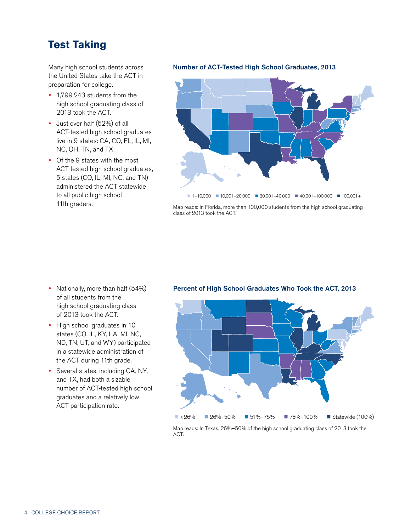# **Test Taking**

Many high school students across the United States take the ACT in preparation for college.

- 1,799,243 students from the high school graduating class of 2013 took the ACT.
- Just over half (52%) of all ACT-tested high school graduates live in 9 states: CA, CO, FL, IL, MI, NC, OH, TN, and TX.
- Of the 9 states with the most ACT-tested high school graduates, 5 states (CO, IL, MI, NC, and TN) administered the ACT statewide to all public high school 11th graders.

### Number of ACT-Tested High School Graduates, 2013



Map reads: In Florida, more than 100,000 students from the high school graduating class of 2013 took the ACT.

- Nationally, more than half (54%) of all students from the high school graduating class of 2013 took the ACT.
- High school graduates in 10 states (CO, IL, KY, LA, MI, NC, ND, TN, UT, and WY) participated in a statewide administration of the ACT during 11th grade.
- Several states, including CA, NY, and TX, had both a sizable number of ACT-tested high school graduates and a relatively low ACT participation rate.

### Percent of High School Graduates Who Took the ACT, 2013



Map reads: In Texas, 26%–50% of the high school graduating class of 2013 took the ACT.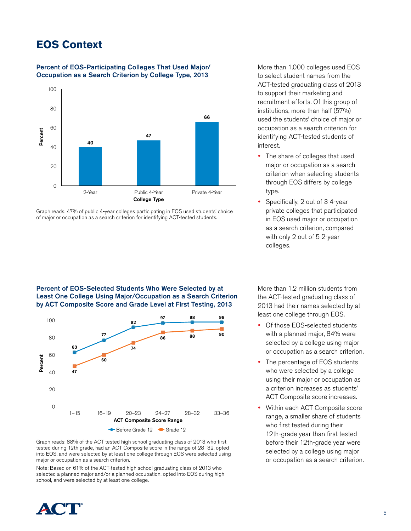# **EOS Context**

### Percent of EOS-Participating Colleges That Used Major/ Occupation as a Search Criterion by College Type, 2013



Graph reads: 47% of public 4-year colleges participating in EOS used students' choice of major or occupation as a search criterion for identifying ACT-tested students.

Percent of EOS-Selected Students Who Were Selected by at Least One College Using Major/Occupation as a Search Criterion by ACT Composite Score and Grade Level at First Testing, 2013



Graph reads: 88% of the ACT-tested high school graduating class of 2013 who first tested during 12th grade, had an ACT Composite score in the range of 28–32, opted into EOS, and were selected by at least one college through EOS were selected using major or occupation as a search criterion.

Note: Based on 61% of the ACT-tested high school graduating class of 2013 who selected a planned major and/or a planned occupation, opted into EOS during high school, and were selected by at least one college.

More than 1,000 colleges used EOS to select student names from the ACT-tested graduating class of 2013 to support their marketing and recruitment efforts. Of this group of institutions, more than half (57%) used the students' choice of major or occupation as a search criterion for identifying ACT-tested students of interest.

- The share of colleges that used major or occupation as a search criterion when selecting students through EOS differs by college type.
- Specifically, 2 out of 3 4-year private colleges that participated in EOS used major or occupation as a search criterion, compared with only 2 out of 5 2-year colleges.

More than 1.2 million students from the ACT-tested graduating class of 2013 had their names selected by at least one college through EOS.

- Of those EOS-selected students with a planned major, 84% were selected by a college using major or occupation as a search criterion.
- The percentage of EOS students who were selected by a college using their major or occupation as a criterion increases as students' ACT Composite score increases.
- Within each ACT Composite score range, a smaller share of students who first tested during their 12th-grade year than first tested before their 12th-grade year were selected by a college using major or occupation as a search criterion.

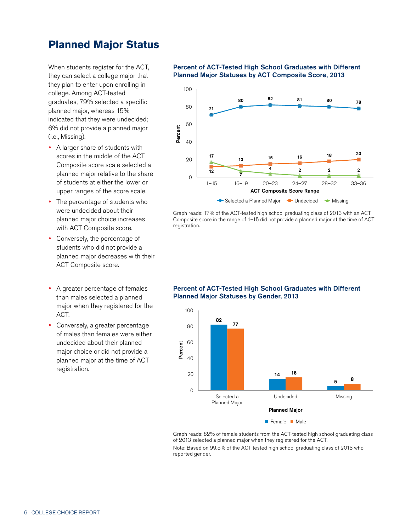# **Planned Major Status**

When students register for the ACT, they can select a college major that they plan to enter upon enrolling in college. Among ACT-tested graduates, 79% selected a specific planned major, whereas 15% indicated that they were undecided; 6% did not provide a planned major (i.e., Missing).

- A larger share of students with scores in the middle of the ACT Composite score scale selected a planned major relative to the share of students at either the lower or upper ranges of the score scale.
- The percentage of students who were undecided about their planned major choice increases with ACT Composite score.
- Conversely, the percentage of students who did not provide a planned major decreases with their ACT Composite score.
- A greater percentage of females than males selected a planned major when they registered for the ACT.
- Conversely, a greater percentage of males than females were either undecided about their planned major choice or did not provide a planned major at the time of ACT registration.

### Percent of ACT-Tested High School Graduates with Different Planned Major Statuses by ACT Composite Score, 2013



Graph reads: 17% of the ACT-tested high school graduating class of 2013 with an ACT Composite score in the range of 1–15 did not provide a planned major at the time of ACT registration.



### Percent of ACT-Tested High School Graduates with Different Planned Major Statuses by Gender, 2013

Graph reads: 82% of female students from the ACT-tested high school graduating class of 2013 selected a planned major when they registered for the ACT.

Note: Based on 99.5% of the ACT-tested high school graduating class of 2013 who reported gender.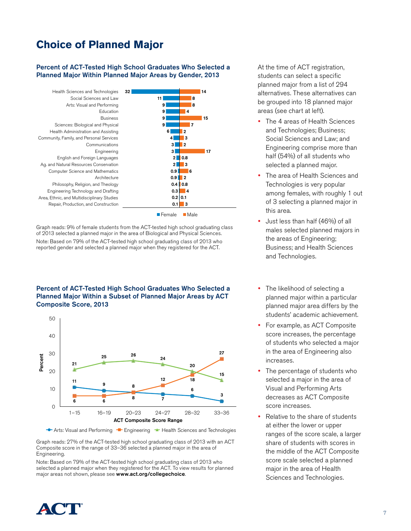# **Choice of Planned Major**

### Percent of ACT-Tested High School Graduates Who Selected a Planned Major Within Planned Major Areas by Gender, 2013



Graph reads: 9% of female students from the ACT-tested high school graduating class of 2013 selected a planned major in the area of Biological and Physical Sciences. Note: Based on 79% of the ACT-tested high school graduating class of 2013 who reported gender and selected a planned major when they registered for the ACT.

### Percent of ACT-Tested High School Graduates Who Selected a Planned Major Within a Subset of Planned Major Areas by ACT Composite Score, 2013



Arts: Visual and Performing  $\equiv$  Engineering  $\equiv$  Health Sciences and Technologies

Graph reads: 27% of the ACT-tested high school graduating class of 2013 with an ACT Composite score in the range of 33–36 selected a planned major in the area of Engineering.

Note: Based on 79% of the ACT-tested high school graduating class of 2013 who selected a planned major when they registered for the ACT. To view results for planned major areas not shown, please see www.act.org/collegechoice.

At the time of ACT registration, students can select a specific planned major from a list of 294 alternatives. These alternatives can be grouped into 18 planned major areas (see chart at left).

- The 4 areas of Health Sciences and Technologies; Business; Social Sciences and Law; and Engineering comprise more than half (54%) of all students who selected a planned major.
- The area of Health Sciences and Technologies is very popular among females, with roughly 1 out of 3 selecting a planned major in this area.
- Just less than half (46%) of all males selected planned majors in the areas of Engineering; Business; and Health Sciences and Technologies.
- The likelihood of selecting a planned major within a particular planned major area differs by the students' academic achievement.
- For example, as ACT Composite score increases, the percentage of students who selected a major in the area of Engineering also increases.
- The percentage of students who selected a major in the area of Visual and Performing Arts decreases as ACT Composite score increases.
- Relative to the share of students at either the lower or upper ranges of the score scale, a larger share of students with scores in the middle of the ACT Composite score scale selected a planned major in the area of Health Sciences and Technologies.

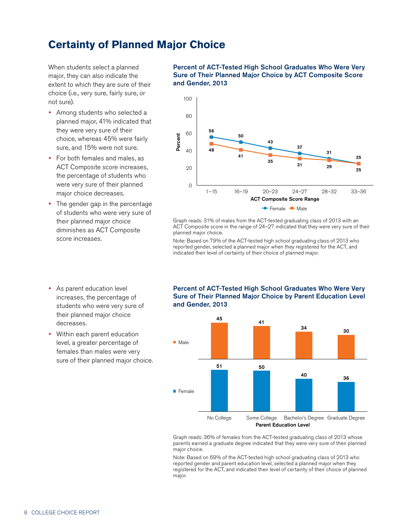# **Certainty of Planned Major Choice**

When students select a planned major, they can also indicate the extent to which they are sure of their choice (i.e., very sure, fairly sure, or not sure).

- Among students who selected a planned major, 41% indicated that they were very sure of their choice, whereas 45% were fairly sure, and 15% were not sure.
- For both females and males, as ACT Composite score increases, the percentage of students who were very sure of their planned major choice decreases.
- The gender gap in the percentage of students who were very sure of their planned major choice diminishes as ACT Composite score increases.
- As parent education level increases, the percentage of students who were very sure of their planned major choice decreases.
- Within each parent education level, a greater percentage of females than males were very sure of their planned major choice.

Percent of ACT-Tested High School Graduates Who Were Very Sure of Their Planned Major Choice by ACT Composite Score and Gender, 2013



Graph reads: 31% of males from the ACT-tested graduating class of 2013 with an ACT Composite score in the range of 24–27 indicated that they were very sure of their planned major choice.

Note: Based on 79% of the ACT-tested high school graduating class of 2013 who reported gender, selected a planned major when they registered for the ACT, and indicated their level of certainty of their choice of planned major.



### Percent of ACT-Tested High School Graduates Who Were Very Sure of Their Planned Major Choice by Parent Education Level and Gender, 2013

[Graph reads: 36% of females from the ACT-tested graduating class of 2013 whose](IMG_Chart 1)  parents earned a graduate degree indicated that they were very sure of their planned major choice.

Note: Based on 69% of the ACT-tested high school graduating class of 2013 who reported gender and parent education level, selected a planned major when they registered for the ACT, and indicated their level of certainty of their choice of planned major.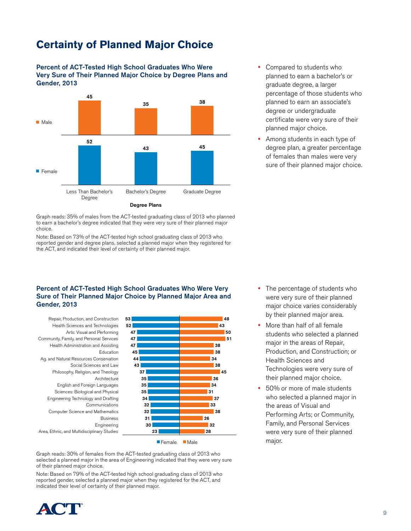# **Certainty of Planned Major Choice**



Percent of ACT-Tested High School Graduates Who Were Very Sure of Their Planned Major Choice by Degree Plans and Gender, 2013



 Among students in each type of degree plan, a greater percentage of females than males were very sure of their planned major choice.

[Graph reads: 35% of males from the ACT-tested graduating class of 2013 who planned](IMG_Chart 1)  to earn a bachelor's degree indicated that they were very sure of their planned major choice.

Note: Based on 73% of the ACT-tested high school graduating class of 2013 who reported gender and degree plans, selected a planned major when they registered for the ACT, and indicated their level of certainty of their planned major.

### Percent of ACT-Tested High School Graduates Who Were Very Sure of Their Planned Major Choice by Planned Major Area and Gender, 2013

Area, Ethnic, and Multidisciplinary Studies Engineering Business Computer Science and Mathematics Communications Engineering Technology and Drafting Sciences: Biological and Physical English and Foreign Languages Architecture Philosophy, Religion, and Theology Social Sciences and Law Ag. and Natural Resources Conservation Education Health Administration and Assisting Community, Family, and Personal Services Arts: Visual and Performing Health Sciences and Technologies Repair, Production, and Construction



Technologies were very sure of their planned major choice. 50% or more of male students

who selected a planned major in the areas of Visual and Performing Arts; or Community, Family, and Personal Services were very sure of their planned major.

Health Sciences and

• The percentage of students who were very sure of their planned major choice varies considerably by their planned major area. More than half of all female students who selected a planned major in the areas of Repair, Production, and Construction; or

[Graph reads: 30% of females from the ACT-tested graduating class of 2013 who](IMG_Chart 1)  selected a planned major in the area of Engineering indicated that they were very sure of their planned major choice.

Note: Based on 79% of the ACT-tested high school graduating class of 2013 who reported gender, selected a planned major when they registered for the ACT, and indicated their level of certainty of their planned major.

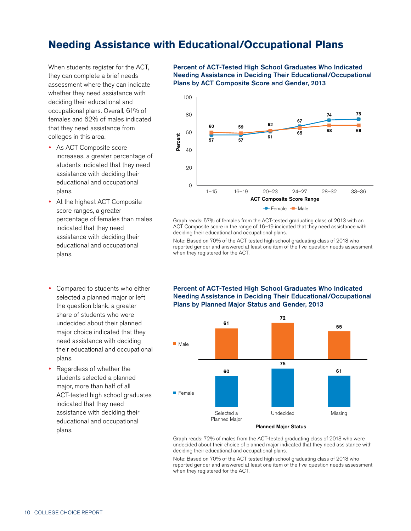# **Needing Assistance with Educational/Occupational Plans**

When students register for the ACT, they can complete a brief needs assessment where they can indicate whether they need assistance with deciding their educational and occupational plans. Overall, 61% of females and 62% of males indicated that they need assistance from colleges in this area.

- As ACT Composite score increases, a greater percentage of students indicated that they need assistance with deciding their educational and occupational plans.
- At the highest ACT Composite score ranges, a greater percentage of females than males indicated that they need assistance with deciding their educational and occupational plans.
- Compared to students who either selected a planned major or left the question blank, a greater share of students who were undecided about their planned major choice indicated that they need assistance with deciding their educational and occupational plans.
- Regardless of whether the students selected a planned major, more than half of all ACT-tested high school graduates indicated that they need assistance with deciding their educational and occupational plans.

Percent of ACT-Tested High School Graduates Who Indicated Needing Assistance in Deciding Their Educational/Occupational Plans by ACT Composite Score and Gender, 2013



Graph reads: 57% of females from the ACT-tested graduating class of 2013 with an ACT Composite score in the range of 16–19 indicated that they need assistance with deciding their educational and occupational plans.

Note: Based on 70% of the ACT-tested high school graduating class of 2013 who reported gender and answered at least one item of the five-question needs assessment when they registered for the ACT.



Percent of ACT-Tested High School Graduates Who Indicated Needing Assistance in Deciding Their Educational/Occupational Plans by Planned Major Status and Gender, 2013

Planned Major Status

Graph reads: 72% of males from the ACT-tested graduating class of 2013 who were undecided about their choice of planned major indicated that they need assistance with deciding their educational and occupational plans.

Note: Based on 70% of the ACT-tested high school graduating class of 2013 who reported gender and answered at least one item of the five-question needs assessment when they registered for the ACT.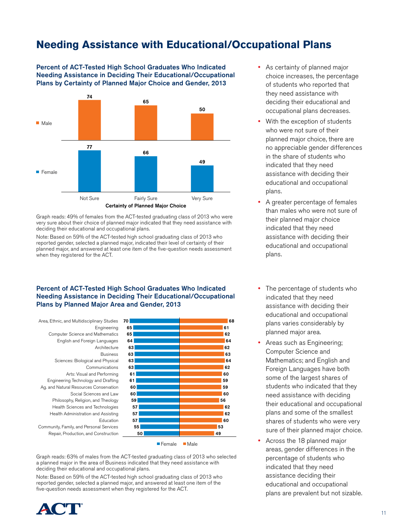# **Needing Assistance with Educational/Occupational Plans**

Percent of ACT-Tested High School Graduates Who Indicated Needing Assistance in Deciding Their Educational/Occupational Plans by Certainty of Planned Major Choice and Gender, 2013



Graph reads: 49% of females from the ACT-tested graduating class of 2013 who were very sure about their choice of planned major indicated that they need assistance with deciding their educational and occupational plans.

Note: Based on 59% of the ACT-tested high school graduating class of 2013 who reported gender, selected a planned major, indicated their level of certainty of their planned major, and answered at least one item of the five-question needs assessment when they registered for the ACT.

### Percent of ACT-Tested High School Graduates Who Indicated Needing Assistance in Deciding Their Educational/Occupational Plans by Planned Major Area and Gender, 2013

Area, Ethnic, and Multidisciplinary Studies 70 Repair, Production, and Construction [Community, Family, and Personal Services](IMG_Chart 1)  Education Health Administration and Assisting Health Sciences and Technologies Philosophy, Religion, and Theology Social Sciences and Law Ag. and Natural Resources Conservation Engineering Technology and Drafting Arts: Visual and Performing Communications Sciences: Biological and Physical Business Architecture English and Foreign Languages Computer Science and Mathematics Engineering



Graph reads: 63% of males from the ACT-tested graduating class of 2013 who selected a planned major in the area of Business indicated that they need assistance with deciding their educational and occupational plans.

Note: Based on 59% of the ACT-tested high school graduating class of 2013 who reported gender, selected a planned major, and answered at least one item of the five-question needs assessment when they registered for the ACT.



- As certainty of planned major choice increases, the percentage of students who reported that they need assistance with deciding their educational and occupational plans decreases.
- With the exception of students who were not sure of their planned major choice, there are no appreciable gender differences in the share of students who indicated that they need assistance with deciding their educational and occupational plans.
- A greater percentage of females than males who were not sure of their planned major choice indicated that they need assistance with deciding their educational and occupational plans.
- The percentage of students who indicated that they need assistance with deciding their educational and occupational plans varies considerably by planned major area.
- Areas such as Engineering; Computer Science and Mathematics; and English and Foreign Languages have both some of the largest shares of students who indicated that they need assistance with deciding their educational and occupational plans and some of the smallest shares of students who were very sure of their planned major choice.
- Across the 18 planned major areas, gender differences in the percentage of students who indicated that they need assistance deciding their educational and occupational plans are prevalent but not sizable.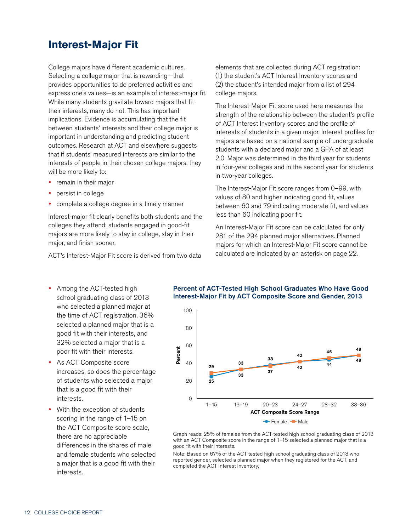# **Interest-Major Fit**

College majors have different academic cultures. Selecting a college major that is rewarding—that provides opportunities to do preferred activities and express one's values—is an example of interest-major fit. While many students gravitate toward majors that fit their interests, many do not. This has important implications. Evidence is accumulating that the fit between students' interests and their college major is important in understanding and predicting student outcomes. Research at ACT and elsewhere suggests that if students' measured interests are similar to the interests of people in their chosen college majors, they will be more likely to:

- remain in their major
- persist in college
- complete a college degree in a timely manner

Interest-major fit clearly benefits both students and the colleges they attend: students engaged in good-fit majors are more likely to stay in college, stay in their major, and finish sooner.

ACT's Interest-Major Fit score is derived from two data

elements that are collected during ACT registration: (1) the student's ACT Interest Inventory scores and (2) the student's intended major from a list of 294 college majors.

The Interest-Major Fit score used here measures the strength of the relationship between the student's profile of ACT Interest Inventory scores and the profile of interests of students in a given major. Interest profiles for majors are based on a national sample of undergraduate students with a declared major and a GPA of at least 2.0. Major was determined in the third year for students in four-year colleges and in the second year for students in two-year colleges.

The Interest-Major Fit score ranges from 0–99, with values of 80 and higher indicating good fit, values between 60 and 79 indicating moderate fit, and values less than 60 indicating poor fit.

An Interest-Major Fit score can be calculated for only 281 of the 294 planned major alternatives. Planned majors for which an Interest-Major Fit score cannot be calculated are indicated by an asterisk on page 22.

- Among the ACT-tested high school graduating class of 2013 who selected a planned major at the time of ACT registration, 36% selected a planned major that is a good fit with their interests, and 32% selected a major that is a poor fit with their interests.
- As ACT Composite score increases, so does the percentage of students who selected a major that is a good fit with their interests.
- With the exception of students scoring in the range of 1–15 on the ACT Composite score scale, there are no appreciable differences in the shares of male and female students who selected a major that is a good fit with their interests.

### Percent of ACT-Tested High School Graduates Who Have Good Interest-Major Fit by ACT Composite Score and Gender, 2013



Graph reads: 25% of females from the ACT-tested high school graduating class of 2013 with an ACT Composite score in the range of 1–15 selected a planned major that is a good fit with their interests.

Note: Based on 67% of the ACT-tested high school graduating class of 2013 who reported gender, selected a planned major when they registered for the ACT, and completed the ACT Interest Inventory.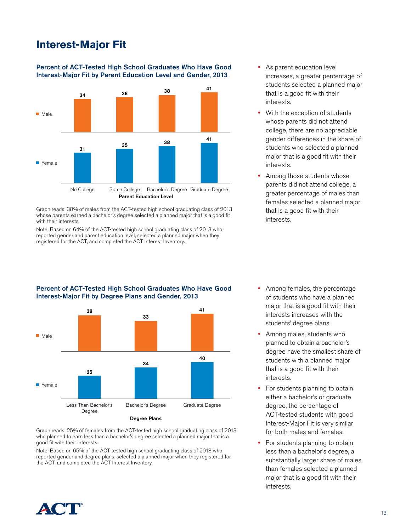# **Interest-Major Fit**

### Percent of ACT-Tested High School Graduates Who Have Good Interest-Major Fit by Parent Education Level and Gender, 2013



Graph reads: 38% of males from the ACT-tested high school graduating class of 2013 whose parents earned a bachelor's degree selected a planned major that is a good fit with their interests.

Note: Based on 64% of the ACT-tested high school graduating class of 2013 who reported gender and parent education level, selected a planned major when they registered for the ACT, and completed the ACT Interest Inventory.

Percent of ACT-Tested High School Graduates Who Have Good

Interest-Major Fit by Degree Plans and Gender, 2013

- As parent education level increases, a greater percentage of students selected a planned major that is a good fit with their interests.
- With the exception of students whose parents did not attend college, there are no appreciable gender differences in the share of students who selected a planned major that is a good fit with their interests.
- Among those students whose parents did not attend college, a greater percentage of males than females selected a planned major that is a good fit with their interests.



[Graph reads: 25% of females from the ACT-tested high school graduating class of 2013](IMG_Chart 1)  who planned to earn less than a bachelor's degree selected a planned major that is a good fit with their interests.

Note: Based on 65% of the ACT-tested high school graduating class of 2013 who reported gender and degree plans, selected a planned major when they registered for the ACT, and completed the ACT Interest Inventory.

- Among females, the percentage of students who have a planned major that is a good fit with their interests increases with the students' degree plans.
- Among males, students who planned to obtain a bachelor's degree have the smallest share of students with a planned major that is a good fit with their interests.
- For students planning to obtain either a bachelor's or graduate degree, the percentage of ACT-tested students with good Interest-Major Fit is very similar for both males and females.
- For students planning to obtain less than a bachelor's degree, a substantially larger share of males than females selected a planned major that is a good fit with their interests.

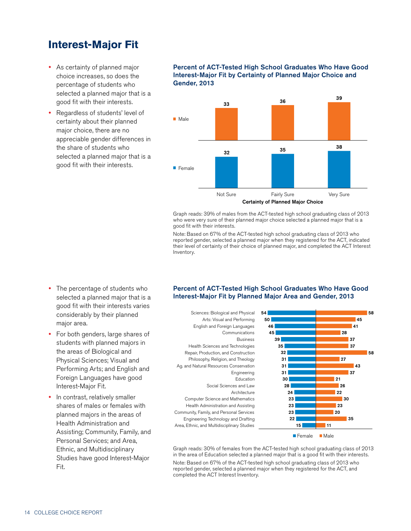# **Interest-Major Fit**

- As certainty of planned major choice increases, so does the percentage of students who selected a planned major that is a good fit with their interests.
- Regardless of students' level of certainty about their planned major choice, there are no appreciable gender differences in the share of students who selected a planned major that is a good fit with their interests.

### Percent of ACT-Tested High School Graduates Who Have Good Interest-Major Fit by Certainty of Planned Major Choice and Gender, 2013



[Graph reads: 39% of males from the ACT-tested high school graduating class of 2013](IMG_Chart 1)  who were very sure of their planned major choice selected a planned major that is a good fit with their interests.

Note: Based on 67% of the ACT-tested high school graduating class of 2013 who reported gender, selected a planned major when they registered for the ACT, indicated their level of certainty of their choice of planned major, and completed the ACT Interest Inventory.

- The percentage of students who selected a planned major that is a good fit with their interests varies considerably by their planned major area.
- For both genders, large shares of students with planned majors in the areas of Biological and Physical Sciences; Visual and Performing Arts; and English and Foreign Languages have good Interest-Major Fit.
- In contrast, relatively smaller shares of males or females with planned majors in the areas of Health Administration and Assisting; Community, Family, and Personal Services; and Area, Ethnic, and Multidisciplinary Studies have good Interest-Major Fit.

### Percent of ACT-Tested High School Graduates Who Have Good Interest-Major Fit by Planned Major Area and Gender, 2013





Female Male

Graph reads: 30% of females from the ACT-tested high school graduating class of 2013 in the area of Education selected a planned major that is a good fit with their interests. Note: Based on 67% of the ACT-tested high school graduating class of 2013 who reported gender, selected a planned major when they registered for the ACT, and completed the ACT Interest Inventory.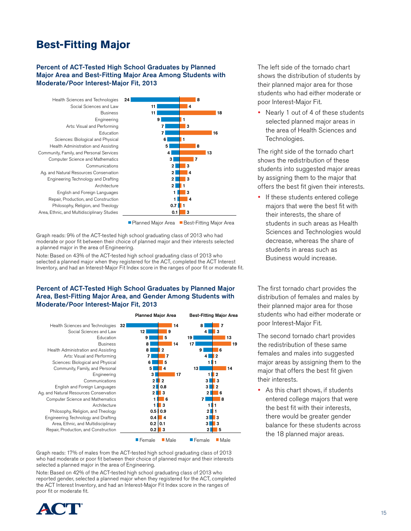# **Best-Fitting Major**

### Percent of ACT-Tested High School Graduates by Planned Major Area and Best-Fitting Major Area Among Students with Moderate/Poor Interest-Major Fit, 2013





Graph reads: 9% of the ACT-tested high school graduating class of 2013 who had moderate or poor fit between their choice of planned major and their interests selected a planned major in the area of Engineering.

Note: Based on 43% of the ACT-tested high school graduating class of 2013 who selected a planned major when they registered for the ACT, completed the ACT Interest Inventory, and had an Interest-Major Fit Index score in the ranges of poor fit or moderate fit.

### Percent of ACT-Tested High School Graduates by Planned Major Area, Best-Fitting Major Area, and Gender Among Students with Moderate/Poor Interest-Major Fit, 2013

|                                        |    | <b>Planned Major Area</b> |                     |    | <b>Best-Fitting Major Area</b> |                     |    |
|----------------------------------------|----|---------------------------|---------------------|----|--------------------------------|---------------------|----|
| Health Sciences and Technologies       | 32 |                           |                     | 14 | 8                              | 7                   |    |
| Social Sciences and Law                |    | 12                        | 9                   |    | 4                              | 3                   |    |
| Education                              |    | 9                         | 5                   |    | 19                             |                     | 13 |
| <b>Business</b>                        |    | 8                         |                     | 14 | 17                             |                     | 19 |
| Health Administration and Assisting    |    | 8                         | $\mathbf{2}$        |    | 9                              | 6                   |    |
| Arts: Visual and Performing            |    | 7                         | 7                   |    | 4                              | $\mathbf{2}$        |    |
| Sciences: Biological and Physical      |    | 6                         | 5                   |    |                                |                     |    |
| Community, Family, and Personal        |    | 5                         | 4                   |    | 13                             |                     | 14 |
| Engineering                            |    | 3                         |                     | 17 |                                | $\overline{2}$      |    |
| Communications                         |    | 2                         | $\overline{2}$      |    | 3                              | 3                   |    |
| English and Foreign Languages          |    | $\mathbf{2}$              | 0.8                 |    | 3                              | $\mathbf 2$         |    |
| Ag. and Natural Resources Conservation |    | $\mathbf{2}$              | 3                   |    | $\mathbf{2}$                   | 6                   |    |
| Computer Science and Mathematics       |    |                           | 6                   |    | 7                              | 8                   |    |
| Architecture                           |    |                           | 3                   |    |                                |                     |    |
| Philosophy, Religion, and Theology     |    |                           | $0.5$ 0.9           |    | $\mathbf 2$                    |                     |    |
| Engineering Technology and Drafting    |    | 0.4                       | $\overline{\bf{4}}$ |    | 3                              | 3                   |    |
| Area, Ethnic, and Multidisciplinary    |    | 0.2                       | 0.1                 |    | 3                              | 3                   |    |
| Repair, Production, and Construction   |    | 0.2                       | 3                   |    | $\mathbf 2$                    | 5                   |    |
|                                        |    | $\blacksquare$ Female     | $\blacksquare$ Male |    | $\blacksquare$ Female          | $\blacksquare$ Male |    |

Graph reads: 17% of males from the ACT-tested high school graduating class of 2013 who had moderate or poor fit between their choice of planned major and their interests selected a planned major in the area of Engineering.

Note: Based on 42% of the ACT-tested high school graduating class of 2013 who reported gender, selected a planned major when they registered for the ACT, completed the ACT Interest Inventory, and had an Interest-Major Fit Index score in the ranges of poor fit or moderate fit.



The left side of the tornado chart shows the distribution of students by their planned major area for those students who had either moderate or poor Interest-Major Fit.

• Nearly 1 out of 4 of these students selected planned major areas in the area of Health Sciences and Technologies.

The right side of the tornado chart shows the redistribution of these students into suggested major areas by assigning them to the major that offers the best fit given their interests.

• If these students entered college majors that were the best fit with their interests, the share of students in such areas as Health Sciences and Technologies would decrease, whereas the share of students in areas such as Business would increase.

The first tornado chart provides the distribution of females and males by their planned major area for those students who had either moderate or poor Interest-Major Fit.

The second tornado chart provides the redistribution of these same females and males into suggested major areas by assigning them to the major that offers the best fit given their interests.

 As this chart shows, if students entered college majors that were the best fit with their interests, there would be greater gender balance for these students across the 18 planned major areas.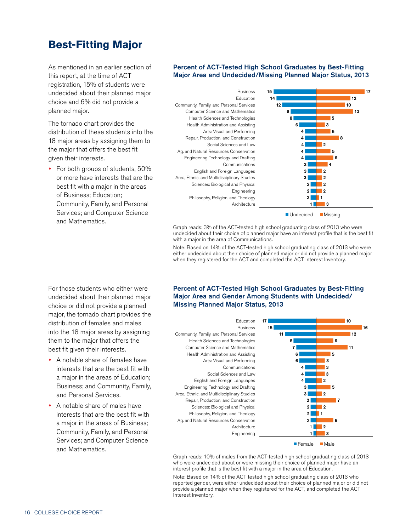# **Best-Fitting Major**

As mentioned in an earlier section of this report, at the time of ACT registration, 15% of students were undecided about their planned major choice and 6% did not provide a planned major.

The tornado chart provides the distribution of these students into the 18 major areas by assigning them to the major that offers the best fit given their interests.

• For both groups of students, 50% or more have interests that are the best fit with a major in the areas of Business; Education; Community, Family, and Personal Services; and Computer Science and Mathematics.

### Percent of ACT-Tested High School Graduates by Best-Fitting Major Area and Undecided/Missing Planned Major Status, 2013





 $\blacksquare$  Undecided  $\blacksquare$  Missing

Graph reads: 3% of the ACT-tested high school graduating class of 2013 who were undecided about their choice of planned major have an interest profile that is the best fit with a major in the area of Communications.

Note: Based on 14% of the ACT-tested high school graduating class of 2013 who were either undecided about their choice of planned major or did not provide a planned major when they registered for the ACT and completed the ACT Interest Inventory.

For those students who either were undecided about their planned major choice or did not provide a planned major, the tornado chart provides the distribution of females and males into the 18 major areas by assigning them to the major that offers the best fit given their interests.

- A notable share of females have interests that are the best fit with a major in the areas of Education; Business; and Community, Family, and Personal Services.
- A notable share of males have interests that are the best fit with a major in the areas of Business; Community, Family, and Personal Services; and Computer Science and Mathematics.

### Percent of ACT-Tested High School Graduates by Best-Fitting Major Area and Gender Among Students with Undecided/ Missing Planned Major Status, 2013

Engineering **Architecture** Ag. and Natural Resources Conservation Philosophy, Religion, and Theology Sciences: Biological and Physical Repair, Production, and Construction Area, Ethnic, and Multidisciplinary Studies Engineering Technology and Drafting English and Foreign Languages Social Sciences and Law **Communications** Arts: Visual and Performing Health Administration and Assisting Computer Science and Mathematics Health Sciences and Technologies [Community, Family, and Personal Services](IMG_Chart 1)  Business



Female Male

Graph reads: 10% of males from the ACT-tested high school graduating class of 2013 who were undecided about or were missing their choice of planned major have an interest profile that is the best fit with a major in the area of Education.

Note: Based on 14% of the ACT-tested high school graduating class of 2013 who reported gender, were either undecided about their choice of planned major or did not provide a planned major when they registered for the ACT, and completed the ACT Interest Inventory.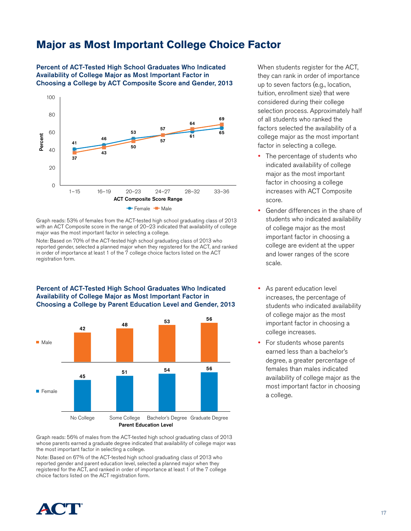# **Major as Most Important College Choice Factor**

Percent of ACT-Tested High School Graduates Who Indicated Availability of College Major as Most Important Factor in Choosing a College by ACT Composite Score and Gender, 2013



Graph reads: 53% of females from the ACT-tested high school graduating class of 2013 with an ACT Composite score in the range of 20–23 indicated that availability of college major was the most important factor in selecting a college.

Note: Based on 70% of the ACT-tested high school graduating class of 2013 who reported gender, selected a planned major when they registered for the ACT, and ranked in order of importance at least 1 of the 7 college choice factors listed on the ACT registration form.



Percent of ACT-Tested High School Graduates Who Indicated Availability of College Major as Most Important Factor in Choosing a College by Parent Education Level and Gender, 2013

[Graph reads: 56% of males from the ACT-tested high school graduating class of 2013](IMG_Chart 1)  whose parents earned a graduate degree indicated that availability of college major was the most important factor in selecting a college.

Note: Based on 67% of the ACT-tested high school graduating class of 2013 who reported gender and parent education level, selected a planned major when they registered for the ACT, and ranked in order of importance at least 1 of the 7 college choice factors listed on the ACT registration form.

When students register for the ACT, they can rank in order of importance up to seven factors (e.g., location, tuition, enrollment size) that were considered during their college selection process. Approximately half of all students who ranked the factors selected the availability of a college major as the most important factor in selecting a college.

- The percentage of students who indicated availability of college major as the most important factor in choosing a college increases with ACT Composite score.
- Gender differences in the share of students who indicated availability of college major as the most important factor in choosing a college are evident at the upper and lower ranges of the score scale.
- As parent education level increases, the percentage of students who indicated availability of college major as the most important factor in choosing a college increases.
- For students whose parents earned less than a bachelor's degree, a greater percentage of females than males indicated availability of college major as the most important factor in choosing a college.

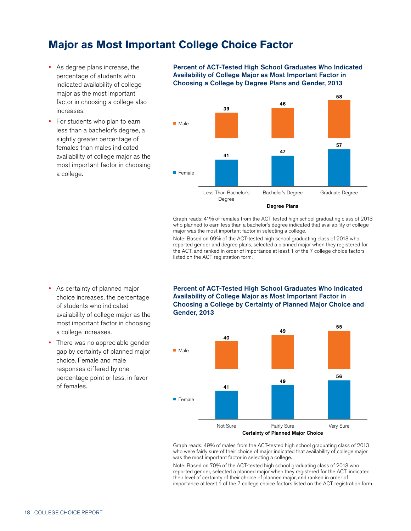# **Major as Most Important College Choice Factor**

- As degree plans increase, the percentage of students who indicated availability of college major as the most important factor in choosing a college also increases.
- For students who plan to earn less than a bachelor's degree, a slightly greater percentage of females than males indicated availability of college major as the most important factor in choosing a college.

Percent of ACT-Tested High School Graduates Who Indicated Availability of College Major as Most Important Factor in Choosing a College by Degree Plans and Gender, 2013



Graph reads: 41% of females from the ACT-tested high school graduating class of 2013 who planned to earn less than a bachelor's degree indicated that availability of college major was the most important factor in selecting a college.

Note: Based on 69% of the ACT-tested high school graduating class of 2013 who reported gender and degree plans, selected a planned major when they registered for the ACT, and ranked in order of importance at least 1 of the 7 college choice factors listed on the ACT registration form.

- As certainty of planned major choice increases, the percentage of students who indicated availability of college major as the most important factor in choosing a college increases.
- There was no appreciable gender gap by certainty of planned major choice. Female and male responses differed by one percentage point or less, in favor of females.

Percent of ACT-Tested High School Graduates Who Indicated Availability of College Major as Most Important Factor in Choosing a College by Certainty of Planned Major Choice and Gender, 2013



[Graph reads: 49% of males from the ACT-tested high school graduating class of 2013](IMG_Chart 1)  who were fairly sure of their choice of major indicated that availability of college major was the most important factor in selecting a college.

Note: Based on 70% of the ACT-tested high school graduating class of 2013 who reported gender, selected a planned major when they registered for the ACT, indicated their level of certainty of their choice of planned major, and ranked in order of importance at least 1 of the 7 college choice factors listed on the ACT registration form.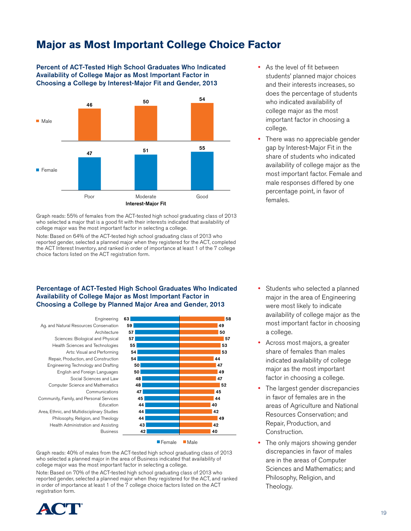# **Major as Most Important College Choice Factor**

Percent of ACT-Tested High School Graduates Who Indicated Availability of College Major as Most Important Factor in Choosing a College by Interest-Major Fit and Gender, 2013



Graph reads: 55% of females from the ACT-tested high school graduating class of 2013 who selected a major that is a good fit with their interests indicated that availability of college major was the most important factor in selecting a college.

Note: Based on 64% of the ACT-tested high school graduating class of 2013 who reported gender, selected a planned major when they registered for the ACT, completed the ACT Interest Inventory, and ranked in order of importance at least 1 of the 7 college choice factors listed on the ACT registration form.

### Percentage of ACT-Tested High School Graduates Who Indicated Availability of College Major as Most Important Factor in Choosing a College by Planned Major Area and Gender, 2013



Female Male

Graph reads: 40% of males from the ACT-tested high school graduating class of 2013 who selected a planned major in the area of Business indicated that availability of college major was the most important factor in selecting a college.

Note: Based on 70% of the ACT-tested high school graduating class of 2013 who reported gender, selected a planned major when they registered for the ACT, and ranked in order of importance at least 1 of the 7 college choice factors listed on the ACT registration form.



- As the level of fit between students' planned major choices and their interests increases, so does the percentage of students who indicated availability of college major as the most important factor in choosing a college.
- There was no appreciable gender gap by Interest-Major Fit in the share of students who indicated availability of college major as the most important factor. Female and male responses differed by one percentage point, in favor of females.

- Students who selected a planned major in the area of Engineering were most likely to indicate availability of college major as the most important factor in choosing a college.
- Across most majors, a greater share of females than males indicated availability of college major as the most important factor in choosing a college.
- The largest gender discrepancies in favor of females are in the areas of Agriculture and National Resources Conservation; and Repair, Production, and Construction.
- The only majors showing gender discrepancies in favor of males are in the areas of Computer Sciences and Mathematics; and Philosophy, Religion, and Theology.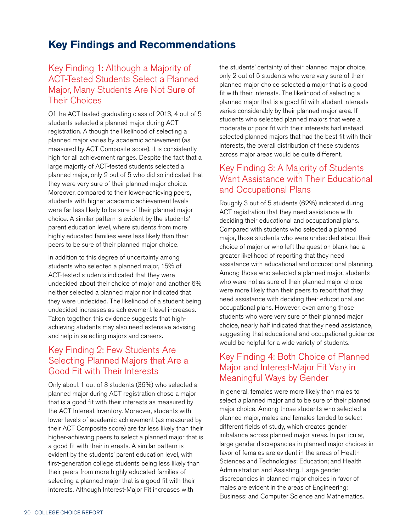# **Key Findings and Recommendations**

### Key Finding 1: Although a Majority of ACT-Tested Students Select a Planned Major, Many Students Are Not Sure of Their Choices

Of the ACT-tested graduating class of 2013, 4 out of 5 students selected a planned major during ACT registration. Although the likelihood of selecting a planned major varies by academic achievement (as measured by ACT Composite score), it is consistently high for all achievement ranges. Despite the fact that a large majority of ACT-tested students selected a planned major, only 2 out of 5 who did so indicated that they were very sure of their planned major choice. Moreover, compared to their lower-achieving peers, students with higher academic achievement levels were far less likely to be sure of their planned major choice. A similar pattern is evident by the students' parent education level, where students from more highly educated families were less likely than their peers to be sure of their planned major choice.

In addition to this degree of uncertainty among students who selected a planned major, 15% of ACT-tested students indicated that they were undecided about their choice of major and another 6% neither selected a planned major nor indicated that they were undecided. The likelihood of a student being undecided increases as achievement level increases. Taken together, this evidence suggests that highachieving students may also need extensive advising and help in selecting majors and careers.

### Key Finding 2: Few Students Are Selecting Planned Majors that Are a Good Fit with Their Interests

Only about 1 out of 3 students (36%) who selected a planned major during ACT registration chose a major that is a good fit with their interests as measured by the ACT Interest Inventory. Moreover, students with lower levels of academic achievement (as measured by their ACT Composite score) are far less likely than their higher-achieving peers to select a planned major that is a good fit with their interests. A similar pattern is evident by the students' parent education level, with first-generation college students being less likely than their peers from more highly educated families of selecting a planned major that is a good fit with their interests. Although Interest-Major Fit increases with

the students' certainty of their planned major choice, only 2 out of 5 students who were very sure of their planned major choice selected a major that is a good fit with their interests. The likelihood of selecting a planned major that is a good fit with student interests varies considerably by their planned major area. If students who selected planned majors that were a moderate or poor fit with their interests had instead selected planned majors that had the best fit with their interests, the overall distribution of these students across major areas would be quite different.

### Key Finding 3: A Majority of Students Want Assistance with Their Educational and Occupational Plans

Roughly 3 out of 5 students (62%) indicated during ACT registration that they need assistance with deciding their educational and occupational plans. Compared with students who selected a planned major, those students who were undecided about their choice of major or who left the question blank had a greater likelihood of reporting that they need assistance with educational and occupational planning. Among those who selected a planned major, students who were not as sure of their planned major choice were more likely than their peers to report that they need assistance with deciding their educational and occupational plans. However, even among those students who were very sure of their planned major choice, nearly half indicated that they need assistance, suggesting that educational and occupational guidance would be helpful for a wide variety of students.

### Key Finding 4: Both Choice of Planned Major and Interest-Major Fit Vary in Meaningful Ways by Gender

In general, females were more likely than males to select a planned major and to be sure of their planned major choice. Among those students who selected a planned major, males and females tended to select different fields of study, which creates gender imbalance across planned major areas. In particular, large gender discrepancies in planned major choices in favor of females are evident in the areas of Health Sciences and Technologies; Education; and Health Administration and Assisting. Large gender discrepancies in planned major choices in favor of males are evident in the areas of Engineering; Business; and Computer Science and Mathematics.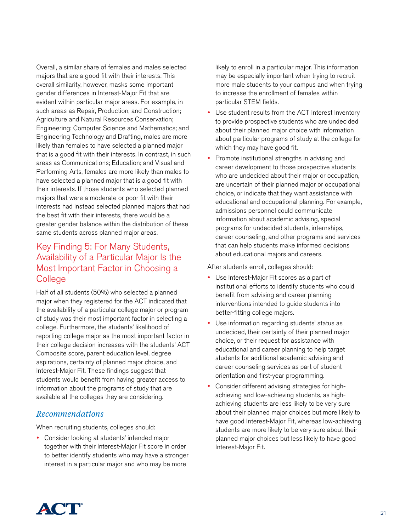Overall, a similar share of females and males selected majors that are a good fit with their interests. This overall similarity, however, masks some important gender differences in Interest-Major Fit that are evident within particular major areas. For example, in such areas as Repair, Production, and Construction; Agriculture and Natural Resources Conservation; Engineering; Computer Science and Mathematics; and Engineering Technology and Drafting, males are more likely than females to have selected a planned major that is a good fit with their interests. In contrast, in such areas as Communications; Education; and Visual and Performing Arts, females are more likely than males to have selected a planned major that is a good fit with their interests. If those students who selected planned majors that were a moderate or poor fit with their interests had instead selected planned majors that had the best fit with their interests, there would be a greater gender balance within the distribution of these same students across planned major areas.

### Key Finding 5: For Many Students, Availability of a Particular Major Is the Most Important Factor in Choosing a College

Half of all students (50%) who selected a planned major when they registered for the ACT indicated that the availability of a particular college major or program of study was their most important factor in selecting a college. Furthermore, the students' likelihood of reporting college major as the most important factor in their college decision increases with the students' ACT Composite score, parent education level, degree aspirations, certainty of planned major choice, and Interest-Major Fit. These findings suggest that students would benefit from having greater access to information about the programs of study that are available at the colleges they are considering.

### *Recommendations*

When recruiting students, colleges should:

 Consider looking at students' intended major together with their Interest-Major Fit score in order to better identify students who may have a stronger interest in a particular major and who may be more

likely to enroll in a particular major. This information may be especially important when trying to recruit more male students to your campus and when trying to increase the enrollment of females within particular STEM fields.

- Use student results from the ACT Interest Inventory to provide prospective students who are undecided about their planned major choice with information about particular programs of study at the college for which they may have good fit.
- Promote institutional strengths in advising and career development to those prospective students who are undecided about their major or occupation, are uncertain of their planned major or occupational choice, or indicate that they want assistance with educational and occupational planning. For example, admissions personnel could communicate information about academic advising, special programs for undecided students, internships, career counseling, and other programs and services that can help students make informed decisions about educational majors and careers.

After students enroll, colleges should:

- Use Interest-Major Fit scores as a part of institutional efforts to identify students who could benefit from advising and career planning interventions intended to guide students into better-fitting college majors.
- Use information regarding students' status as undecided, their certainty of their planned major choice, or their request for assistance with educational and career planning to help target students for additional academic advising and career counseling services as part of student orientation and first-year programming.
- Consider different advising strategies for highachieving and low-achieving students, as highachieving students are less likely to be very sure about their planned major choices but more likely to have good Interest-Major Fit, whereas low-achieving students are more likely to be very sure about their planned major choices but less likely to have good Interest-Major Fit.

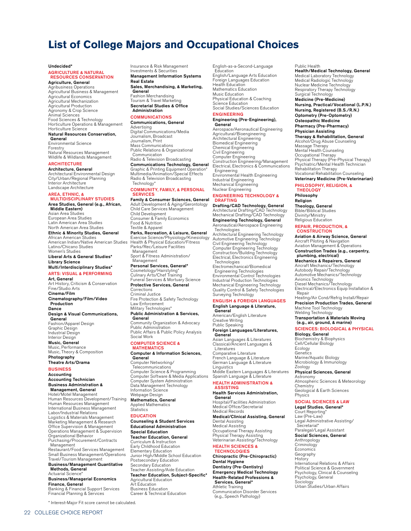# **List of College Majors and Occupational Choices**

#### Undecided\*

#### AGRICULTURE & NATURAL RESOURCES CONSERVATION

Agriculture, General Agribusiness Operations Agricultural Business & Management Agricultural Economics Agricultural Mechanization Agricultural Production Agronomy & Crop Science Animal Sciences Food Sciences & Technology Horticulture Operations & Management Horticulture Science Natural Resources Conservation, General Environmental Science

Forestry Natural Resources Management Wildlife & Wildlands Management **ARCHITECTURE** 

Architecture, General Architectural Environmental Design City/Urban/Regional Planning Interior Architecture Landscape Architecture

### AREA, ETHNIC, &<br>MULTIDISCIPLINARY STU

Area Studies, General (e.g., African, Middle Eastern) Asian Area Studies European Area Studies Latin American Area Studies North American Area Studies Ethnic & Minority Studies, General African American Studies American Indian/Native American Studies Latino/Chicano Studies

Women's Studies Liberal Arts & General Studies\* Library Science

### Multi/Interdisciplinary Studies\*

ARTS: VISUAL & PERFORMING Art, General

Art History, Criticism & Conservation Fine/Studio Arts Cinema/Film Cinematography/Film/Video Production Dance Design & Visual Communications, **General** Fashion/Apparel Design Graphic Design Industrial Design

Interior Design Music, General Music, Performance Music, Theory & Composition Photography

#### Theatre Arts/Drama

### **BUSINESS**

Accounting Accounting Technician Business Administration & Management, General

Hotel/Motel Management Human Resources Development/Training Human Resources Management International Business Management Labor/Industrial Relations Logistics & Materials Management Marketing Management & Research Office Supervision & Management Operations Management & Supervision Organizational Behavior Purchasing/Procurement/Contracts Management Restaurant/Food Services Management

Small Business Management/Operations Travel/Tourism Management Business/Management Quantitative

#### Methods, General Actuarial Science\*

Business/Managerial Economics Finance, General Banking & Financial Support Services Financial Planning & Services Insurance & Risk Management Investments & Securities Management Information Systems Real Estate Sales, Merchandising, & Marketing, General Fashion Merchandising

Tourism & Travel Marketing Secretarial Studies & Office Administration

### **COMMUNICATIONS**

Communications, General

Advertising Digital Communications/Media Journalism, Broadcast Journalism, Print Mass Communications Public Relations & Organizational Communication Radio & Television Broadcasting

### **Communications Technology, General**<br>Graphic & Printing Equipment Operation\*

Graphic & Printing Equipment Operation\* Multimedia/Animation/Special Effects Radio & Television Broadcasting Technology\* COMMUNITY, FAMILY, & PERSONAL **SERVICES** 

### Family & Consumer Sciences, General

Adult Development & Aging/Gerontology Child Care Services Management Child Development Consumer & Family Economics Food & Nutrition Textile & Apparel Parks, Recreation, & Leisure, General Exercise Science/Physiology/Kinesiology Health & Physical Education/Fitness

Parks/Rec/Leisure Facilities Management Sport & Fitness Administration/ Management Personal Services, General\*

# Cosmetology/Hairstyling\* Culinary Arts/Chef Training

Funeral Services & Mortuary Science Protective Services, General **Corrections** Criminal Justice Fire Protection & Safety Technology

Law Enforcement Military Technologies\* Public Administration & Services,

General Community Organization & Advocacy Public Administration Public Affairs & Public Policy Analysis Social Work

### COMPUTER SCIENCE & MATHEMATICS

Computer & Information Sciences, General Computer Networking/

**Telecommunications** Computer Science & Programming Computer Software & Media Applications Computer System Administration Data Management Technology Information Science Webpage Design Mathematics, General Applied Mathematics Statistics

#### EDUCATION

Counseling & Student Services Educational Administration Special Education Teacher Education, General Curriculum & Instruction Early Childhood Education Elementary Education Junior High/Middle School Education Postsecondary Education Secondary Education Teacher Assisting/Aide Education Teacher Education, Subject-Specific\* Agricultural Education Art Education **Business Education** Career & Technical Education

English-as-a-Second-Language Education English/Language Arts Education Foreign Languages Education Health Education Mathematics Education Music Education Physical Education & Coaching Science Education Social Studies/Sciences Education

#### ENGINEERING Engineering (Pre-Engineering),

General Aerospace/Aeronautical Engineering Agricultural/Bioengineering Architectural Engineering Biomedical Engineering Chemical Engineering Civil Engineering Computer Engineering Construction Engineering/Management Electrical, Electronics & Communications Engineering Environmental Health Engineering Industrial Engineering Mechanical Engineering Nuclear Engineering

#### ENGINEERING TECHNOLOGY & DRAFTING

Drafting/CAD Technology, General Architectural Drafting/CAD Technology Mechanical Drafting/CAD Technology Engineering Technology, General Aeronautical/Aerospace Engineering Technologies Architectural Engineering Technology Automotive Engineering Technology Civil Engineering Technology Computer Engineering Technology Construction/Building Technology Electrical, Electronics Engineering Technologies Electromechanical/Biomedical Engineering Technologies Environmental Control Technologies Industrial Production Technologies Mechanical Engineering Technology Quality Control & Safety Technologies Surveying Technology ENGLISH & FOREIGN LANGUAGES English Language & Literature, **General**<br>American/English Literature Creative Writing

Public Speaking Foreign Languages/Literatures, **General** Asian Languages & Literatures Classical/Ancient Languages & Literatures Comparative Literature French Language & Literature German Language & Literature

**Linguistics** Middle Eastern Languages & Literatures Spanish Language & Literature HEALTH ADMINISTRATION &

### **ASSISTING**

Health Services Administration, General Hospital/Facilities Administration

Medical Office/Secretarial Medical Records Medical/Clinical Assisting, General Dental Assisting Medical Assisting

Occupational Therapy Assisting Physical Therapy Assisting Veterinarian Assisting/Technology HEALTH SCIENCES &

#### **TECHNOLOGIES**

Chiropractic (Pre-Chiropractic) Dental Hygiene Dentistry (Pre-Dentistry) Emergency Medical Technology Health-Related Professions & Services, General\* Athletic Training Communication Disorder Services (e.g., Speech Pathology)

#### Public Health

Health/Medical Technology, General Medical Laboratory Technology Medical Radiologic Technology Nuclear Medicine Technology Respiratory Therapy Technology Surgical Technology

Medicine (Pre-Medicine) Nursing, Practical/Vocational (L.P.N.) Nursing, Registered (B.S./R.N.) Optometry (Pre-Optometry) Osteopathic Medicine Pharmacy (Pre-Pharmacy) Physician Assisting

### Therapy & Rehabilitation, General

Alcohol/Drug Abuse Counseling Massage Therapy Mental Health Counseling Occupational Therapy Physical Therapy (Pre-Physical Therapy) Psychiatric/Mental Health Technician Rehabilitation Therapy Vocational Rehabilitation Counseling Veterinary Medicine (Pre-Veterinarian)

Philosophy, RELIGION, & THEOLOGY Philosophy

Religion Theology, General Bible/Biblical Studies Divinity/Ministry Religious Education

# REPAIR, PRODUCTION, &

**CONSTRUCTION** Aviation & Airway Science, General Aircraft Piloting & Navigation

Aviation Management & Operations Construction Trades (e.g., carpentry, plumbing, electrical)

### Mechanics & Repairers, General

Aircraft Mechanics/Technology Autobody Repair/Technology Automotive Mechanics/Technology Avionics Technology Diesel Mechanics/Technology Electrical/Electronics Equip Installation & Repair

Heating/Air Cond/Refrig Install/Repair Precision Production Trades, General Machine Tool Technology

# Welding Technology Transportation & Materials Moving (e.g., air, ground, & marine)

SCIENCES: BIOLOGICAL & PHYSICAL Biology, General

Biochemistry & Biophysics Cell/Cellular Biology Ecology **Genetics** Marine/Aquatic Biology Microbiology & Immunology Zoology

#### Physical Sciences, General

Astronomy Atmospheric Sciences & Meteorology Chemistry Geological & Earth Sciences Physics

### SOCIAL SCIENCES & LAW

Legal Studies, General\* Court Reporting\* Law (Pre-Law) Legal Administrative Assisting/ Secretarial\* Paralegal/Legal Assistant Social Sciences, General Anthropology **Criminology Economics** Geography **History** International Relations & Affairs Political Science & Government Psychology, Clinical & Counseling Psychology, General Sociology Urban Studies/Urban Affairs

\* Interest-Major Fit score cannot be calculated.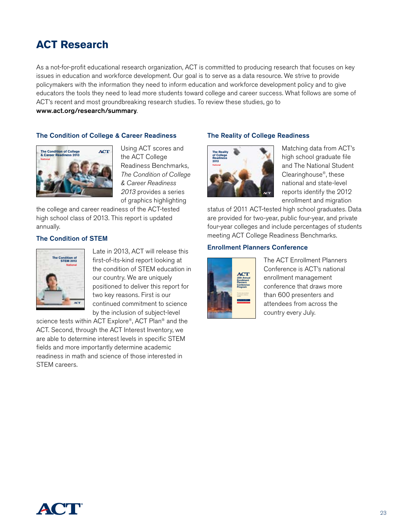# **ACT Research**

As a not-for-profit educational research organization, ACT is committed to producing research that focuses on key issues in education and workforce development. Our goal is to serve as a data resource. We strive to provide policymakers with the information they need to inform education and workforce development policy and to give educators the tools they need to lead more students toward college and career success. What follows are some of ACT's recent and most groundbreaking research studies. To review these studies, go to

www.act.org/research/summary.

### The Condition of College & Career Readiness



Using ACT scores and the ACT College Readiness Benchmarks, *The Condition of College & Career Readiness 2013* provides a series of graphics highlighting

the college and career readiness of the ACT-tested high school class of 2013. This report is updated annually.

### The Condition of STEM



Late in 2013, ACT will release this first-of-its-kind report looking at the condition of STEM education in our country. We are uniquely positioned to deliver this report for two key reasons. First is our continued commitment to science by the inclusion of subject-level

science tests within ACT Explore®, ACT Plan® and the ACT. Second, through the ACT Interest Inventory, we are able to determine interest levels in specific STEM fields and more importantly determine academic readiness in math and science of those interested in STEM careers.

### The Reality of College Readiness



Matching data from ACT's high school graduate file and The National Student Clearinghouse®, these national and state-level reports identify the 2012 enrollment and migration

status of 2011 ACT-tested high school graduates. Data are provided for two-year, public four-year, and private four-year colleges and include percentages of students meeting ACT College Readiness Benchmarks.

### Enrollment Planners Conference



The ACT Enrollment Planners Conference is ACT's national enrollment management conference that draws more than 600 presenters and attendees from across the country every July.